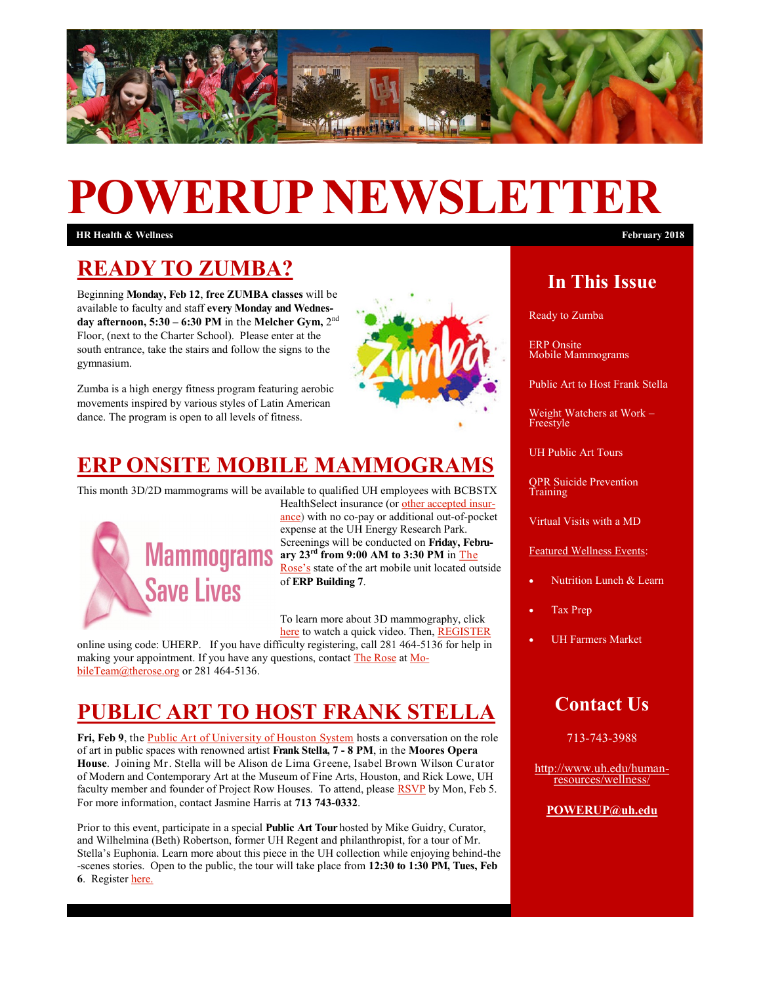

# **POWERUP NEWSLETTER**

**HR Health & Wellness February 2018**

### **READY TO ZUMBA?**

Beginning **Monday, Feb 12**, **free ZUMBA classes** will be available to faculty and staff **every Monday and Wednesday afternoon, 5:30 – 6:30 PM** in the **Melcher Gym,** 2 nd Floor, (next to the Charter School). Please enter at the south entrance, take the stairs and follow the signs to the gymnasium.

Zumba is a high energy fitness program featuring aerobic movements inspired by various styles of Latin American dance. The program is open to all levels of fitness.



# **[ERP ONSITE MOBILE MAMMOGRAMS](https://www.sentinelanalytics.net/rose/)**

This month 3D/2D mammograms will be available to qualified UH employees with BCBSTX



HealthSelect insurance (or [other accepted insur](http://www.therose.org/services/insurance-plans/)[ance\)](http://www.therose.org/services/insurance-plans/) with no co-pay or additional out-of-pocket expense at the UH Energy Research Park. Screenings will be conducted on **Friday, Febru-Mammograms** are  $\frac{1}{2}$  and  $\frac{1}{2}$  and  $\frac{1}{2}$  and  $\frac{1}{2}$  and  $\frac{1}{2}$  and  $\frac{1}{2}$  and  $\frac{1}{2}$  and  $\frac{1}{2}$  and  $\frac{1}{2}$  and  $\frac{1}{2}$  and  $\frac{1}{2}$  and  $\frac{1}{2}$  and  $\frac{1}{2}$  and  $\frac{1}{2}$  and  $\frac{1}{2}$ [Rose's](http://www.therose.org/services/mobile-mammography/) state of the art mobile unit located outside of **ERP Building 7**.

> To learn more about 3D mammography, click [here](https://www.youtube.com/watch?v=BBOVE1nkgfU) to watch a quick video. Then, [REGISTER](https://www.sentinelanalytics.net/rose/)

online using code: UHERP. If you have difficulty registering, call 281 464-5136 for help in making your appointment. If you have any questions, contact [The Rose](http://www.therose.org/) at [Mo](mailto:MobileTeam@therose.org)[bileTeam@therose.org](mailto:MobileTeam@therose.org) or 281 464-5136.

# **[PUBLIC ART TO HOST FRANK STELLA](http://uhouston.imodules.com/s/1442/unsubscribe/index.aspx?sid=1442&gid=31&pgid=4323&cid=6639&ecid=6639)**

**Fri, Feb 9**, the [Public Art of University of Houston System](http://www.uh.edu/uh-collection/) hosts a conversation on the role of art in public spaces with renowned artist **Frank Stella, 7 - 8 PM**, in the **Moores Opera House**. Joining Mr. Stella will be Alison de Lima Greene, Isabel Brown Wilson Curator of Modern and Contemporary Art at the Museum of Fine Arts, Houston, and Rick Lowe, UH faculty member and founder of Project Row Houses. To attend, please **[RSVP](http://uhouston.imodules.com/stellapublicart)** by Mon, Feb 5. For more information, contact Jasmine Harris at **713 743-0332**.

Prior to this event, participate in a special **Public Art Tour** hosted by Mike Guidry, Curator, and Wilhelmina (Beth) Robertson, former UH Regent and philanthropist, for a tour of Mr. Stella's Euphonia. Learn more about this piece in the UH collection while enjoying behind-the -scenes stories. Open to the public, the tour will take place from **12:30 to 1:30 PM, Tues, Feb 6**. Register [here.](https://www.eventbrite.com/e/tour-of-the-public-art-of-the-university-of-houston-system-registration-41849778815)

### **In This Issue**

Ready to Zumba

ERP Onsite Mobile Mammograms

Public Art to Host Frank Stella

Weight Watchers at Work – Freestyle

UH Public Art Tours

QPR Suicide Prevention Training

Virtual Visits with a MD

Featured Wellness Events:

- Nutrition Lunch & Learn
- Tax Prep
- UH Farmers Market

### **Contact Us**

713-743-3988

[http://www.uh.edu/human](http://uhhelpdesk.custhelp.com/rd?1=AvNw~wqPDv8S~x7zGl1m~yKZAFsohC77Mv~m~z7~Pv8v&2=26669)[resources/wellness/](http://uhhelpdesk.custhelp.com/rd?1=AvNw~wqPDv8S~x7zGl1m~yKZAFsohC77Mv~m~z7~Pv8v&2=26669)

#### **[POWERUP@uh.edu](mailto:POWERUP@uh.edu)**